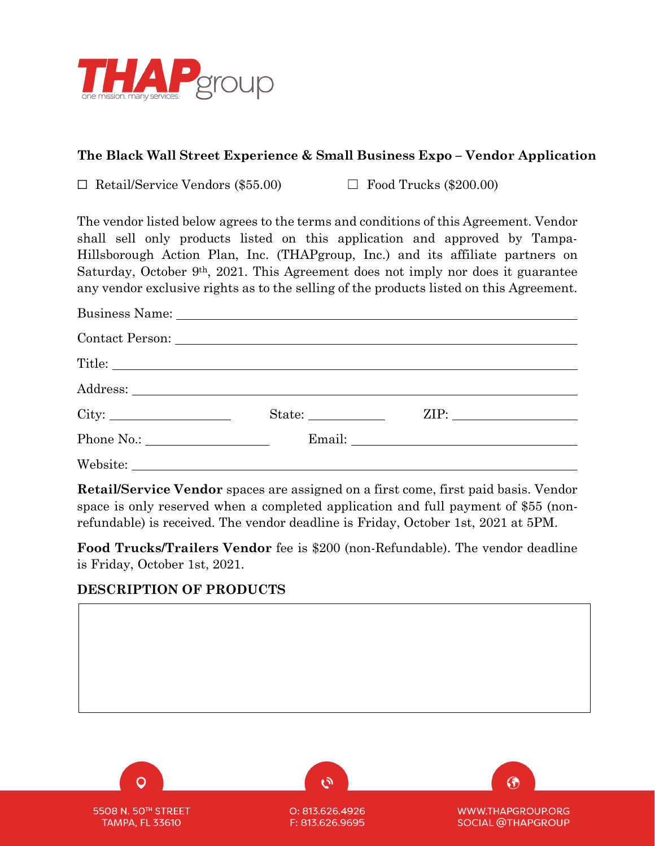

## **The Black Wall Street Experience & Small Business Expo – Vendor Application**

☐ Retail/Service Vendors (\$55.00) ☐ Food Trucks (\$200.00)

The vendor listed below agrees to the terms and conditions of this Agreement. Vendor shall sell only products listed on this application and approved by Tampa-Hillsborough Action Plan, Inc. (THAPgroup, Inc.) and its affiliate partners on Saturday, October 9th, 2021. This Agreement does not imply nor does it guarantee any vendor exclusive rights as to the selling of the products listed on this Agreement.

|                 | ZIP: |  |
|-----------------|------|--|
| Phone No.: No.: |      |  |
|                 |      |  |

**Retail/Service Vendor** spaces are assigned on a first come, first paid basis. Vendor space is only reserved when a completed application and full payment of \$55 (nonrefundable) is received. The vendor deadline is Friday, October 1st, 2021 at 5PM.

**Food Trucks/Trailers Vendor** fee is \$200 (non-Refundable). The vendor deadline is Friday, October 1st, 2021.

# **DESCRIPTION OF PRODUCTS**